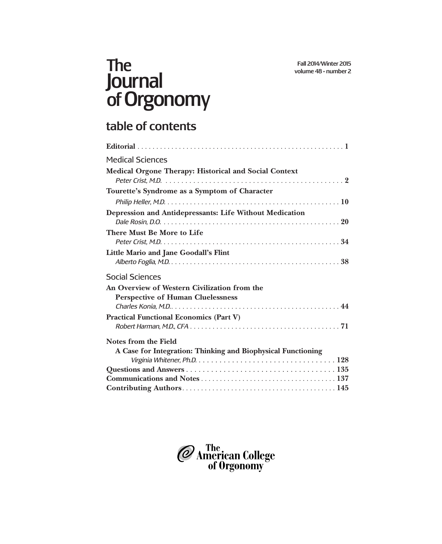# The Journal of Orgonomy

## table of contents

| <b>Medical Sciences</b>                                                                  |
|------------------------------------------------------------------------------------------|
| <b>Medical Orgone Therapy: Historical and Social Context</b>                             |
| Tourette's Syndrome as a Symptom of Character                                            |
|                                                                                          |
| <b>Depression and Antidepressants: Life Without Medication</b>                           |
| There Must Be More to Life                                                               |
| Little Mario and Jane Goodall's Flint                                                    |
| <b>Social Sciences</b>                                                                   |
| An Overview of Western Civilization from the<br><b>Perspective of Human Cluelessness</b> |
| <b>Practical Functional Economics (Part V)</b>                                           |
| Notes from the Field                                                                     |
| A Case for Integration: Thinking and Biophysical Functioning                             |
|                                                                                          |
|                                                                                          |
|                                                                                          |

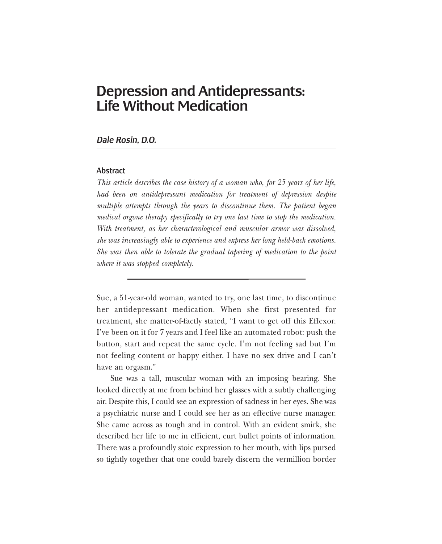### Depression and Antidepressants: Life Without Medication

#### *Dale Rosin, D.O.*

#### **Abstract**

*This article describes the case history of a woman who, for 25 years of her life, had been on antidepressant medication for treatment of depression despite multiple attempts through the years to discontinue them. The patient began medical orgone therapy specifically to try one last time to stop the medication. With treatment, as her characterological and muscular armor was dissolved, she was increasingly able to experience and express her long held-back emotions. She was then able to tolerate the gradual tapering of medication to the point where it was stopped completely.*

Sue, a 51-year-old woman, wanted to try, one last time, to discontinue her antidepressant medication. When she first presented for treatment, she matter-of-factly stated, "I want to get off this Effexor. I've been on it for 7 years and I feel like an automated robot: push the button, start and repeat the same cycle. I'm not feeling sad but I'm not feeling content or happy either. I have no sex drive and I can't have an orgasm."

Sue was a tall, muscular woman with an imposing bearing. She looked directly at me from behind her glasses with a subtly challenging air. Despite this, I could see an expression of sadness in her eyes. She was a psychiatric nurse and I could see her as an effective nurse manager. She came across as tough and in control. With an evident smirk, she described her life to me in efficient, curt bullet points of information. There was a profoundly stoic expression to her mouth, with lips pursed so tightly together that one could barely discern the vermillion border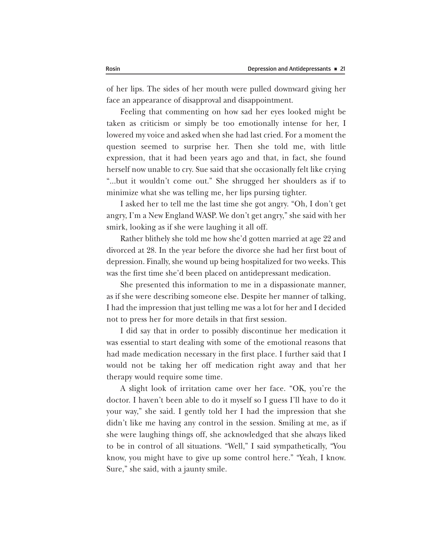of her lips. The sides of her mouth were pulled downward giving her face an appearance of disapproval and disappointment.

Feeling that commenting on how sad her eyes looked might be taken as criticism or simply be too emotionally intense for her, I lowered my voice and asked when she had last cried. For a moment the question seemed to surprise her. Then she told me, with little expression, that it had been years ago and that, in fact, she found herself now unable to cry. Sue said that she occasionally felt like crying "...but it wouldn't come out." She shrugged her shoulders as if to minimize what she was telling me, her lips pursing tighter.

I asked her to tell me the last time she got angry. "Oh, I don't get angry, I'm a New England WASP. We don't get angry," she said with her smirk, looking as if she were laughing it all off.

Rather blithely she told me how she'd gotten married at age 22 and divorced at 28. In the year before the divorce she had her first bout of depression. Finally, she wound up being hospitalized for two weeks. This was the first time she'd been placed on antidepressant medication.

She presented this information to me in a dispassionate manner, as if she were describing someone else. Despite her manner of talking, I had the impression that just telling me was a lot for her and I decided not to press her for more details in that first session.

I did say that in order to possibly discontinue her medication it was essential to start dealing with some of the emotional reasons that had made medication necessary in the first place. I further said that I would not be taking her off medication right away and that her therapy would require some time.

A slight look of irritation came over her face. "OK, you're the doctor. I haven't been able to do it myself so I guess I'll have to do it your way," she said. I gently told her I had the impression that she didn't like me having any control in the session. Smiling at me, as if she were laughing things off, she acknowledged that she always liked to be in control of all situations. "Well," I said sympathetically, "You know, you might have to give up some control here." "Yeah, I know. Sure," she said, with a jaunty smile.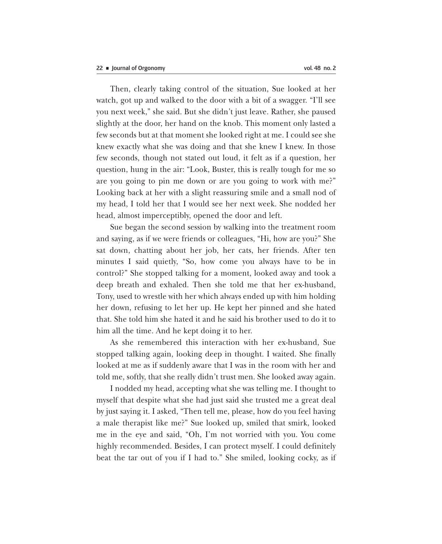Then, clearly taking control of the situation, Sue looked at her watch, got up and walked to the door with a bit of a swagger. "I'll see you next week," she said. But she didn't just leave. Rather, she paused slightly at the door, her hand on the knob. This moment only lasted a few seconds but at that moment she looked right at me. I could see she knew exactly what she was doing and that she knew I knew. In those few seconds, though not stated out loud, it felt as if a question, her question, hung in the air: "Look, Buster, this is really tough for me so are you going to pin me down or are you going to work with me?" Looking back at her with a slight reassuring smile and a small nod of my head, I told her that I would see her next week. She nodded her head, almost imperceptibly, opened the door and left.

Sue began the second session by walking into the treatment room and saying, as if we were friends or colleagues, "Hi, how are you?" She sat down, chatting about her job, her cats, her friends. After ten minutes I said quietly, "So, how come you always have to be in control?" She stopped talking for a moment, looked away and took a deep breath and exhaled. Then she told me that her ex-husband, Tony, used to wrestle with her which always ended up with him holding her down, refusing to let her up. He kept her pinned and she hated that. She told him she hated it and he said his brother used to do it to him all the time. And he kept doing it to her.

As she remembered this interaction with her ex-husband, Sue stopped talking again, looking deep in thought. I waited. She finally looked at me as if suddenly aware that I was in the room with her and told me, softly, that she really didn't trust men. She looked away again.

I nodded my head, accepting what she was telling me. I thought to myself that despite what she had just said she trusted me a great deal by just saying it. I asked, "Then tell me, please, how do you feel having a male therapist like me?" Sue looked up, smiled that smirk, looked me in the eye and said, "Oh, I'm not worried with you. You come highly recommended. Besides, I can protect myself. I could definitely beat the tar out of you if I had to." She smiled, looking cocky, as if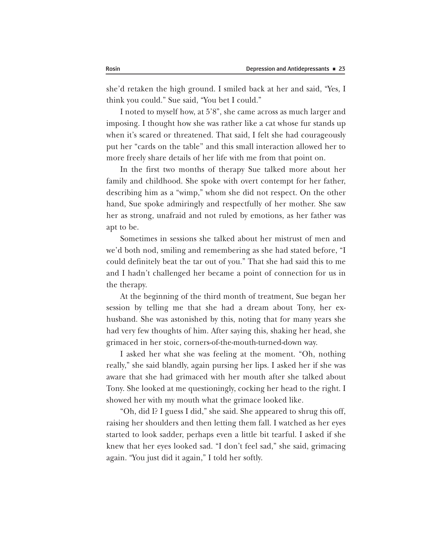she'd retaken the high ground. I smiled back at her and said, "Yes, I think you could." Sue said, "You bet I could."

I noted to myself how, at 5'8", she came across as much larger and imposing. I thought how she was rather like a cat whose fur stands up when it's scared or threatened. That said, I felt she had courageously put her "cards on the table'' and this small interaction allowed her to more freely share details of her life with me from that point on.

In the first two months of therapy Sue talked more about her family and childhood. She spoke with overt contempt for her father, describing him as a "wimp," whom she did not respect. On the other hand, Sue spoke admiringly and respectfully of her mother. She saw her as strong, unafraid and not ruled by emotions, as her father was apt to be.

Sometimes in sessions she talked about her mistrust of men and we'd both nod, smiling and remembering as she had stated before, "I could definitely beat the tar out of you." That she had said this to me and I hadn't challenged her became a point of connection for us in the therapy.

At the beginning of the third month of treatment, Sue began her session by telling me that she had a dream about Tony, her exhusband. She was astonished by this, noting that for many years she had very few thoughts of him. After saying this, shaking her head, she grimaced in her stoic, corners-of-the-mouth-turned-down way.

I asked her what she was feeling at the moment. "Oh, nothing really," she said blandly, again pursing her lips. I asked her if she was aware that she had grimaced with her mouth after she talked about Tony. She looked at me questioningly, cocking her head to the right. I showed her with my mouth what the grimace looked like.

"Oh, did I? I guess I did," she said. She appeared to shrug this off, raising her shoulders and then letting them fall. I watched as her eyes started to look sadder, perhaps even a little bit tearful. I asked if she knew that her eyes looked sad. "I don't feel sad," she said, grimacing again. "You just did it again," I told her softly.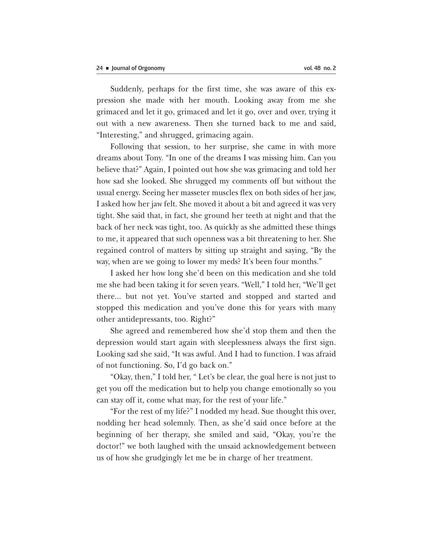Suddenly, perhaps for the first time, she was aware of this expression she made with her mouth. Looking away from me she grimaced and let it go, grimaced and let it go, over and over, trying it out with a new awareness. Then she turned back to me and said, "Interesting," and shrugged, grimacing again.

Following that session, to her surprise, she came in with more dreams about Tony. "In one of the dreams I was missing him. Can you believe that?" Again, I pointed out how she was grimacing and told her how sad she looked. She shrugged my comments off but without the usual energy. Seeing her masseter muscles flex on both sides of her jaw, I asked how her jaw felt. She moved it about a bit and agreed it was very tight. She said that, in fact, she ground her teeth at night and that the back of her neck was tight, too. As quickly as she admitted these things to me, it appeared that such openness was a bit threatening to her. She regained control of matters by sitting up straight and saying, "By the way, when are we going to lower my meds? It's been four months."

I asked her how long she'd been on this medication and she told me she had been taking it for seven years. "Well," I told her, "We'll get there... but not yet. You've started and stopped and started and stopped this medication and you've done this for years with many other antidepressants, too. Right?"

She agreed and remembered how she'd stop them and then the depression would start again with sleeplessness always the first sign. Looking sad she said, "It was awful. And I had to function. I was afraid of not functioning. So, I'd go back on."

"Okay, then," I told her, " Let's be clear, the goal here is not just to get you off the medication but to help you change emotionally so you can stay off it, come what may, for the rest of your life."

"For the rest of my life?" I nodded my head. Sue thought this over, nodding her head solemnly. Then, as she'd said once before at the beginning of her therapy, she smiled and said, "Okay, you're the doctor!" we both laughed with the unsaid acknowledgement between us of how she grudgingly let me be in charge of her treatment.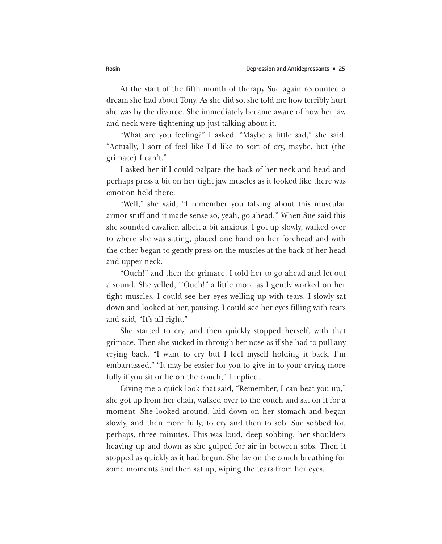At the start of the fifth month of therapy Sue again recounted a dream she had about Tony. As she did so, she told me how terribly hurt she was by the divorce. She immediately became aware of how her jaw and neck were tightening up just talking about it.

"What are you feeling?" I asked. "Maybe a little sad," she said. "Actually, I sort of feel like I'd like to sort of cry, maybe, but (the grimace) I can't."

I asked her if I could palpate the back of her neck and head and perhaps press a bit on her tight jaw muscles as it looked like there was emotion held there.

"Well," she said, "I remember you talking about this muscular armor stuff and it made sense so, yeah, go ahead.'' When Sue said this she sounded cavalier, albeit a bit anxious. I got up slowly, walked over to where she was sitting, placed one hand on her forehead and with the other began to gently press on the muscles at the back of her head and upper neck.

"Ouch!" and then the grimace. I told her to go ahead and let out a sound. She yelled, ''Ouch!" a little more as I gently worked on her tight muscles. I could see her eyes welling up with tears. I slowly sat down and looked at her, pausing. I could see her eyes filling with tears and said, "It's all right."

She started to cry, and then quickly stopped herself, with that grimace. Then she sucked in through her nose as if she had to pull any crying back. "I want to cry but I feel myself holding it back. I'm embarrassed." "It may be easier for you to give in to your crying more fully if you sit or lie on the couch," I replied.

Giving me a quick look that said, "Remember, I can beat you up," she got up from her chair, walked over to the couch and sat on it for a moment. She looked around, laid down on her stomach and began slowly, and then more fully, to cry and then to sob. Sue sobbed for, perhaps, three minutes. This was loud, deep sobbing, her shoulders heaving up and down as she gulped for air in between sobs. Then it stopped as quickly as it had begun. She lay on the couch breathing for some moments and then sat up, wiping the tears from her eyes.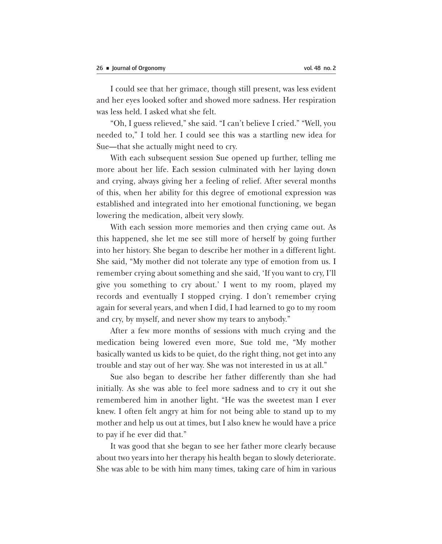I could see that her grimace, though still present, was less evident and her eyes looked softer and showed more sadness. Her respiration was less held. I asked what she felt.

"Oh, I guess relieved," she said. "I can't believe I cried." "Well, you needed to," I told her. I could see this was a startling new idea for Sue—that she actually might need to cry.

With each subsequent session Sue opened up further, telling me more about her life. Each session culminated with her laying down and crying, always giving her a feeling of relief. After several months of this, when her ability for this degree of emotional expression was established and integrated into her emotional functioning, we began lowering the medication, albeit very slowly.

With each session more memories and then crying came out. As this happened, she let me see still more of herself by going further into her history. She began to describe her mother in a different light. She said, "My mother did not tolerate any type of emotion from us. I remember crying about something and she said, 'If you want to cry, I'll give you something to cry about.' I went to my room, played my records and eventually I stopped crying. I don't remember crying again for several years, and when I did, I had learned to go to my room and cry, by myself, and never show my tears to anybody."

After a few more months of sessions with much crying and the medication being lowered even more, Sue told me, "My mother basically wanted us kids to be quiet, do the right thing, not get into any trouble and stay out of her way. She was not interested in us at all."

Sue also began to describe her father differently than she had initially. As she was able to feel more sadness and to cry it out she remembered him in another light. "He was the sweetest man I ever knew. I often felt angry at him for not being able to stand up to my mother and help us out at times, but I also knew he would have a price to pay if he ever did that."

It was good that she began to see her father more clearly because about two years into her therapy his health began to slowly deteriorate. She was able to be with him many times, taking care of him in various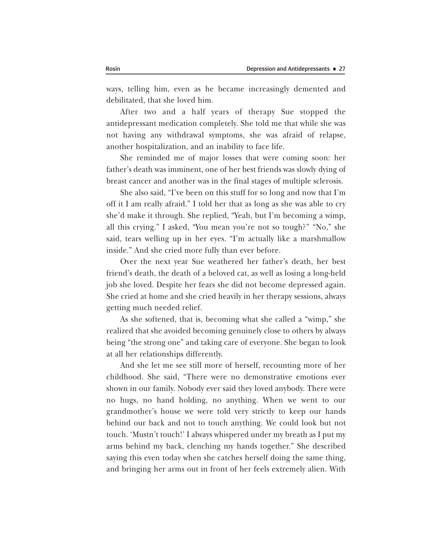ways, telling him, even as he became increasingly demented and debilitated, that she loved him.

After two and a half years of therapy Sue stopped the antidepressant medication completely. She told me that while she was not having any withdrawal symptoms, she was afraid of relapse, another hospitalization, and an inability to face life.

She reminded me of major losses that were coming soon: her father's death was imminent, one of her best friends was slowly dying of breast cancer and another was in the final stages of multiple sclerosis.

She also said, "I've been on this stuff for so long and now that I'm off it I am really afraid." I told her that as long as she was able to cry she'd make it through. She replied, "Yeah, but I'm becoming a wimp, all this crying." I asked, "You mean you're not so tough?'' "No," she said, tears welling up in her eyes. "I'm actually like a marshmallow inside." And she cried more fully than ever before.

Over the next year Sue weathered her father's death, her best friend's death, the death of a beloved cat, as well as losing a long-held job she loved. Despite her fears she did not become depressed again. She cried at home and she cried heavily in her therapy sessions, always getting much needed relief.

As she softened, that is, becoming what she called a "wimp," she realized that she avoided becoming genuinely close to others by always being "the strong one" and taking care of everyone. She began to look at all her relationships differently.

And she let me see still more of herself, recounting more of her childhood. She said, "There were no demonstrative emotions ever shown in our family. Nobody ever said they loved anybody. There were no hugs, no hand holding, no anything. When we went to our grandmother's house we were told very strictly to keep our hands behind our back and not to touch anything. We could look but not touch. 'Mustn't touch!' I always whispered under my breath as I put my arms behind my back, clenching my hands together." She described saying this even today when she catches herself doing the same thing, and bringing her arms out in front of her feels extremely alien. With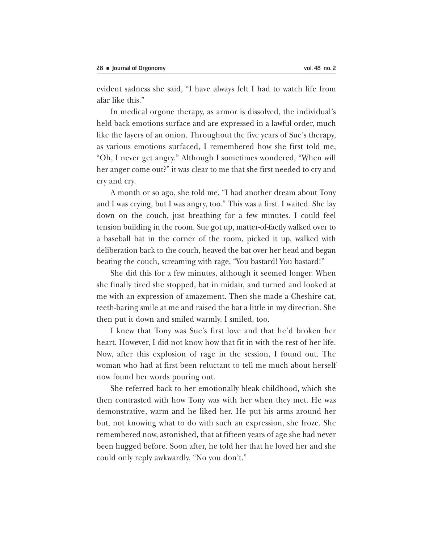evident sadness she said, "I have always felt I had to watch life from afar like this."

In medical orgone therapy, as armor is dissolved, the individual's held back emotions surface and are expressed in a lawful order, much like the layers of an onion. Throughout the five years of Sue's therapy, as various emotions surfaced, I remembered how she first told me, "Oh, I never get angry." Although I sometimes wondered, "When will her anger come out?" it was clear to me that she first needed to cry and cry and cry.

A month or so ago, she told me, "I had another dream about Tony and I was crying, but I was angry, too." This was a first. I waited. She lay down on the couch, just breathing for a few minutes. I could feel tension building in the room. Sue got up, matter-of-factly walked over to a baseball bat in the corner of the room, picked it up, walked with deliberation back to the couch, heaved the bat over her head and began beating the couch, screaming with rage, "You bastard! You bastard!"

She did this for a few minutes, although it seemed longer. When she finally tired she stopped, bat in midair, and turned and looked at me with an expression of amazement. Then she made a Cheshire cat, teeth-baring smile at me and raised the bat a little in my direction. She then put it down and smiled warmly. I smiled, too.

I knew that Tony was Sue's first love and that he'd broken her heart. However, I did not know how that fit in with the rest of her life. Now, after this explosion of rage in the session, I found out. The woman who had at first been reluctant to tell me much about herself now found her words pouring out.

She referred back to her emotionally bleak childhood, which she then contrasted with how Tony was with her when they met. He was demonstrative, warm and he liked her. He put his arms around her but, not knowing what to do with such an expression, she froze. She remembered now, astonished, that at fifteen years of age she had never been hugged before. Soon after, he told her that he loved her and she could only reply awkwardly, "No you don't."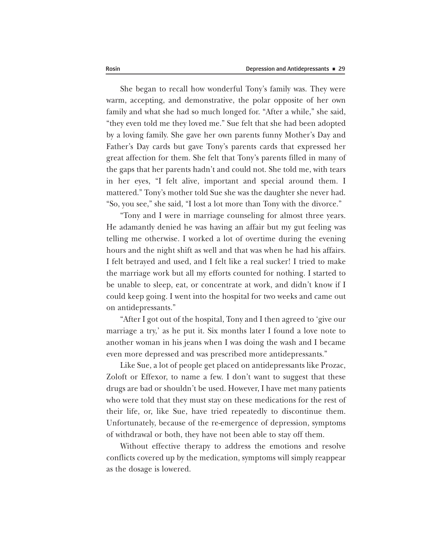She began to recall how wonderful Tony's family was. They were warm, accepting, and demonstrative, the polar opposite of her own family and what she had so much longed for. "After a while," she said, "they even told me they loved me." Sue felt that she had been adopted by a loving family. She gave her own parents funny Mother's Day and Father's Day cards but gave Tony's parents cards that expressed her great affection for them. She felt that Tony's parents filled in many of the gaps that her parents hadn't and could not. She told me, with tears in her eyes, "I felt alive, important and special around them. I mattered." Tony's mother told Sue she was the daughter she never had. "So, you see," she said, "I lost a lot more than Tony with the divorce."

"Tony and I were in marriage counseling for almost three years. He adamantly denied he was having an affair but my gut feeling was telling me otherwise. I worked a lot of overtime during the evening hours and the night shift as well and that was when he had his affairs. I felt betrayed and used, and I felt like a real sucker! I tried to make the marriage work but all my efforts counted for nothing. I started to be unable to sleep, eat, or concentrate at work, and didn't know if I could keep going. I went into the hospital for two weeks and came out on antidepressants."

"After I got out of the hospital, Tony and I then agreed to 'give our marriage a try,' as he put it. Six months later I found a love note to another woman in his jeans when I was doing the wash and I became even more depressed and was prescribed more antidepressants."

Like Sue, a lot of people get placed on antidepressants like Prozac, Zoloft or Effexor, to name a few. I don't want to suggest that these drugs are bad or shouldn't be used. However, I have met many patients who were told that they must stay on these medications for the rest of their life, or, like Sue, have tried repeatedly to discontinue them. Unfortunately, because of the re-emergence of depression, symptoms of withdrawal or both, they have not been able to stay off them.

Without effective therapy to address the emotions and resolve conflicts covered up by the medication, symptoms will simply reappear as the dosage is lowered.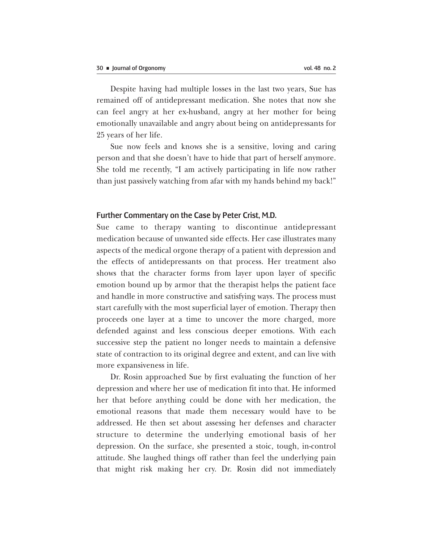Despite having had multiple losses in the last two years, Sue has remained off of antidepressant medication. She notes that now she can feel angry at her ex-husband, angry at her mother for being emotionally unavailable and angry about being on antidepressants for 25 years of her life.

Sue now feels and knows she is a sensitive, loving and caring person and that she doesn't have to hide that part of herself anymore. She told me recently, "I am actively participating in life now rather than just passively watching from afar with my hands behind my back!"

#### Further Commentary on the Case by Peter Crist, M.D.

Sue came to therapy wanting to discontinue antidepressant medication because of unwanted side effects. Her case illustrates many aspects of the medical orgone therapy of a patient with depression and the effects of antidepressants on that process. Her treatment also shows that the character forms from layer upon layer of specific emotion bound up by armor that the therapist helps the patient face and handle in more constructive and satisfying ways. The process must start carefully with the most superficial layer of emotion. Therapy then proceeds one layer at a time to uncover the more charged, more defended against and less conscious deeper emotions. With each successive step the patient no longer needs to maintain a defensive state of contraction to its original degree and extent, and can live with more expansiveness in life.

Dr. Rosin approached Sue by first evaluating the function of her depression and where her use of medication fit into that. He informed her that before anything could be done with her medication, the emotional reasons that made them necessary would have to be addressed. He then set about assessing her defenses and character structure to determine the underlying emotional basis of her depression. On the surface, she presented a stoic, tough, in-control attitude. She laughed things off rather than feel the underlying pain that might risk making her cry. Dr. Rosin did not immediately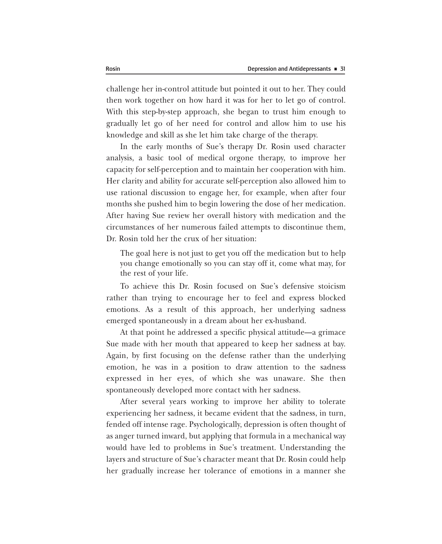challenge her in-control attitude but pointed it out to her. They could then work together on how hard it was for her to let go of control. With this step-by-step approach, she began to trust him enough to gradually let go of her need for control and allow him to use his knowledge and skill as she let him take charge of the therapy.

In the early months of Sue's therapy Dr. Rosin used character analysis, a basic tool of medical orgone therapy, to improve her capacity for self-perception and to maintain her cooperation with him. Her clarity and ability for accurate self-perception also allowed him to use rational discussion to engage her, for example, when after four months she pushed him to begin lowering the dose of her medication. After having Sue review her overall history with medication and the circumstances of her numerous failed attempts to discontinue them, Dr. Rosin told her the crux of her situation:

The goal here is not just to get you off the medication but to help you change emotionally so you can stay off it, come what may, for the rest of your life.

To achieve this Dr. Rosin focused on Sue's defensive stoicism rather than trying to encourage her to feel and express blocked emotions. As a result of this approach, her underlying sadness emerged spontaneously in a dream about her ex-husband.

At that point he addressed a specific physical attitude—a grimace Sue made with her mouth that appeared to keep her sadness at bay. Again, by first focusing on the defense rather than the underlying emotion, he was in a position to draw attention to the sadness expressed in her eyes, of which she was unaware. She then spontaneously developed more contact with her sadness.

After several years working to improve her ability to tolerate experiencing her sadness, it became evident that the sadness, in turn, fended off intense rage. Psychologically, depression is often thought of as anger turned inward, but applying that formula in a mechanical way would have led to problems in Sue's treatment. Understanding the layers and structure of Sue's character meant that Dr. Rosin could help her gradually increase her tolerance of emotions in a manner she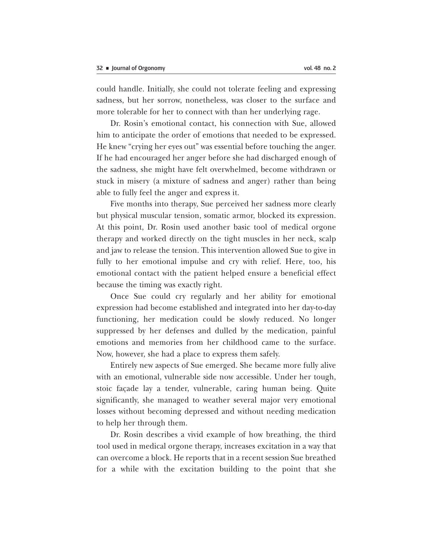could handle. Initially, she could not tolerate feeling and expressing sadness, but her sorrow, nonetheless, was closer to the surface and more tolerable for her to connect with than her underlying rage.

Dr. Rosin's emotional contact, his connection with Sue, allowed him to anticipate the order of emotions that needed to be expressed. He knew "crying her eyes out" was essential before touching the anger. If he had encouraged her anger before she had discharged enough of the sadness, she might have felt overwhelmed, become withdrawn or stuck in misery (a mixture of sadness and anger) rather than being able to fully feel the anger and express it.

Five months into therapy, Sue perceived her sadness more clearly but physical muscular tension, somatic armor, blocked its expression. At this point, Dr. Rosin used another basic tool of medical orgone therapy and worked directly on the tight muscles in her neck, scalp and jaw to release the tension. This intervention allowed Sue to give in fully to her emotional impulse and cry with relief. Here, too, his emotional contact with the patient helped ensure a beneficial effect because the timing was exactly right.

Once Sue could cry regularly and her ability for emotional expression had become established and integrated into her day-to-day functioning, her medication could be slowly reduced. No longer suppressed by her defenses and dulled by the medication, painful emotions and memories from her childhood came to the surface. Now, however, she had a place to express them safely.

Entirely new aspects of Sue emerged. She became more fully alive with an emotional, vulnerable side now accessible. Under her tough, stoic façade lay a tender, vulnerable, caring human being. Quite significantly, she managed to weather several major very emotional losses without becoming depressed and without needing medication to help her through them.

Dr. Rosin describes a vivid example of how breathing, the third tool used in medical orgone therapy, increases excitation in a way that can overcome a block. He reports that in a recent session Sue breathed for a while with the excitation building to the point that she